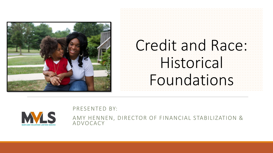

# Credit and Race: **Historical** Foundations



PRESENTED BY:

AMY HENNEN, DIRECTOR OF FINANCIAL STABILIZATION & ADVOCACY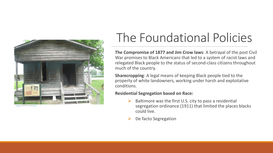

[This Photo](https://commons.wikimedia.org/wiki/File:Sharecropper) by Unknown Author is licensed under [CC BY-SA](https://creativecommons.org/licenses/by-sa/3.0/)

## The Foundational Policies

**The Compromise of 1877 and Jim Crow laws**: A betrayal of the post Civil War promises to Black Americans that led to a system of racist laws and relegated Black people to the status of second-class citizens throughout much of the country.

**Sharecropping**: A legal means of keeping Black people tied to the property of white landowners, working under harsh and exploitative conditions.

#### **Residential Segregation based on Race:**

- $\triangleright$  Baltimore was the first U.S. city to pass a residential segregation ordinance (1911) that limited the places blacks could live.
- De facto Segregation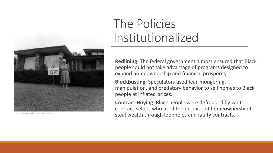

### The Policies Institutionalized

**Redlining**: The federal government almost ensured that Black people could not take advantage of programs designed to expand homeownership and financial prosperity.

**Blockbusting**: Speculators used fear-mongering, manipulation, and predatory behavior to sell homes to Black people at inflated prices.

**Contract-Buying**: Black people were defrauded by white contract-sellers who used the promise of homeownership to  $S$ tholo by Unknown Author is licensed under [CC BY-NC-ND](https://creativecommons.org/licenses/by-nc-nd/3.0/) **Contracts.** The photo by Unknown Author is licensed under CC BY-NC-ND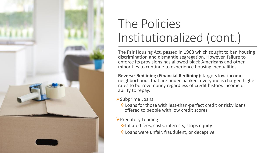![](_page_3_Picture_0.jpeg)

## The Policies Institutionalized (cont.)

The Fair Housing Act, passed in 1968 which sought to ban housing discrimination and dismantle segregation. However, failure to enforce its provisions has allowed black Americans and other minorities to continue to experience housing inequalities.

**Reverse-Redlining (Financial Redlining):** targets low-income neighborhoods that are under-banked, everyone is charged higher rates to borrow money regardless of credit history, income or ability to repay.

- ➢Subprime Loans
	- ❖Loans for those with less-than-perfect credit or risky loans offered to people with low credit scores.
- ➢Predatory Lending
	- ❖Inflated fees, costs, interests, strips equity
	- ❖Loans were unfair, fraudulent, or deceptive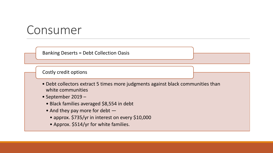### Consumer

Banking Deserts = Debt Collection Oasis

Costly credit options

- Debt collectors extract 5 times more judgments against black communities than white communities
- September 2019
	- Black families averaged \$8,554 in debt
	- And they pay more for debt
		- approx. \$735/yr in interest on every \$10,000
		- Approx. \$514/yr for white families.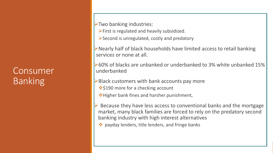#### Consumer Banking

➢Two banking industries:

- ➢First is regulated and heavily subsidized.
- ➢Second is unregulated, costly and predatory

➢Nearly half of black households have limited access to retail banking services or none at all.

➢60% of blacks are unbanked or underbanked to 3% white unbanked 15% underbanked

- $\triangleright$  Black customers with bank accounts pay more
	- **❖ \$190 more for a checking account**
	- ❖Higher bank fines and harsher punishment,
- ➢ Because they have less access to conventional banks and the mortgage market, many black families are forced to rely on the predatory second banking industry with high interest alternatives
	- ❖ payday lenders, title lenders, and fringe banks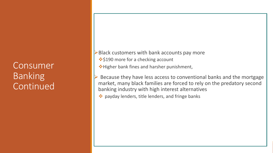Consumer Banking Continued

 $\triangleright$  Black customers with bank accounts pay more ❖\$190 more for a checking account

❖Higher bank fines and harsher punishment,

Because they have less access to conventional banks and the mortgage market, many black families are forced to rely on the predatory second banking industry with high interest alternatives

❖ payday lenders, title lenders, and fringe banks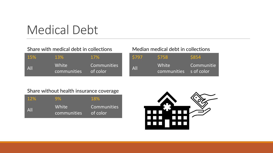### Medical Debt

#### Share with medical debt in collections

| <b>15%</b>     | 13%                  | <b>17%</b>              |
|----------------|----------------------|-------------------------|
| $\mathsf{All}$ | White<br>communities | Communities<br>of color |

#### Median medical debt in collections

| \$797 | <b>S758</b>                     | <b>S854</b> |
|-------|---------------------------------|-------------|
| All   | White<br>communities s of color | Communitie  |

#### Share without health insurance coverage

| <b>12%</b> | 9%                   | 18%                     |
|------------|----------------------|-------------------------|
| All        | White<br>communities | Communities<br>of color |

![](_page_7_Picture_7.jpeg)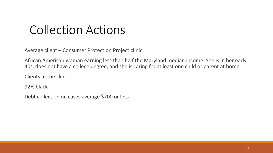### Collection Actions

Average client – Consumer Protection Project clinic

African American woman earning less than half the Maryland median income. She is in her early 40s, does not have a college degree, and she is caring for at least one child or parent at home.

Clients at the clinic

92% black

Debt collection on cases average \$700 or less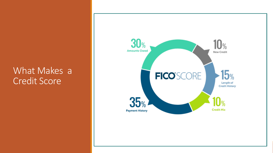#### What Makes a Credit Score

![](_page_9_Figure_1.jpeg)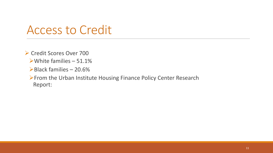### Access to Credit

➢ Credit Scores Over 700

- $\triangleright$  White families 51.1%
- ➢Black families 20.6%

➢From the Urban Institute Housing Finance Policy Center Research Report: